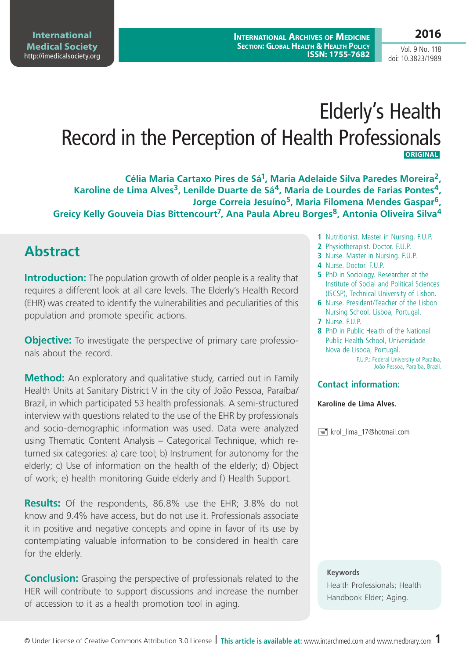### **2016**

Vol. 9 No. 118 doi: 10.3823/1989

# Elderly's Health Record in the Perception of Health Professionals  **ORIGINAL**

**Célia Maria Cartaxo Pires de Sá1, Maria Adelaide Silva Paredes Moreira2,**  Karoline de Lima Alves<sup>3</sup>, Lenilde Duarte de Sá<sup>4</sup>, Maria de Lourdes de Farias Pontes<sup>4</sup>, **Jorge Correia Jesuíno5, Maria Filomena Mendes Gaspar6,**  Greicy Kelly Gouveia Dias Bittencourt<sup>7</sup>, Ana Paula Abreu Borges<sup>8</sup>, Antonia Oliveira Silva<sup>4</sup>

# **Abstract**

**Introduction:** The population growth of older people is a reality that requires a different look at all care levels. The Elderly's Health Record (EHR) was created to identify the vulnerabilities and peculiarities of this population and promote specific actions.

**Objective:** To investigate the perspective of primary care professionals about the record.

**Method:** An exploratory and qualitative study, carried out in Family Health Units at Sanitary District V in the city of João Pessoa, Paraíba/ Brazil, in which participated 53 health professionals. A semi-structured interview with questions related to the use of the EHR by professionals and socio-demographic information was used. Data were analyzed using Thematic Content Analysis – Categorical Technique, which returned six categories: a) care tool; b) Instrument for autonomy for the elderly; c) Use of information on the health of the elderly; d) Object of work; e) health monitoring Guide elderly and f) Health Support.

**Results:** Of the respondents, 86.8% use the EHR; 3.8% do not know and 9.4% have access, but do not use it. Professionals associate it in positive and negative concepts and opine in favor of its use by contemplating valuable information to be considered in health care for the elderly.

**Conclusion:** Grasping the perspective of professionals related to the HER will contribute to support discussions and increase the number of accession to it as a health promotion tool in aging.

- **1** Nutritionist. Master in Nursing. F.U.P.
- **2** Physiotherapist. Doctor. F.U.P.
- **3** Nurse. Master in Nursing. F.U.P.
- **4** Nurse. Doctor. F.U.P.
- **5** PhD in Sociology. Researcher at the Institute of Social and Political Sciences (ISCSP), Technical University of Lisbon.
- **6** Nurse. President/Teacher of the Lisbon Nursing School. Lisboa, Portugal.
- **7** Nurse. F.U.P.
- **8** PhD in Public Health of the National Public Health School, Universidade Nova de Lisboa, Portugal.

F.U.P.: Federal University of Paraíba, João Pessoa, Paraíba, Brazil.

#### **Contact information:**

#### **Karoline de Lima Alves.**

krol\_lima\_17@hotmail.com

#### **Keywords**

Health Professionals; Health Handbook Elder; Aging.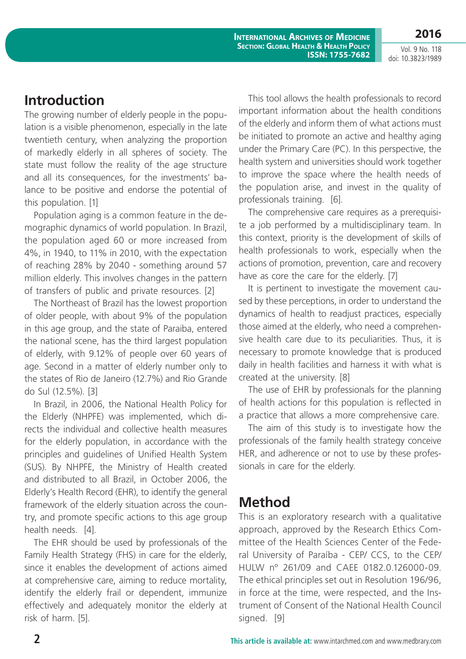Vol. 9 No. 118 doi: 10.3823/1989

**2016**

# **Introduction**

The growing number of elderly people in the population is a visible phenomenon, especially in the late twentieth century, when analyzing the proportion of markedly elderly in all spheres of society. The state must follow the reality of the age structure and all its consequences, for the investments' balance to be positive and endorse the potential of this population. [1]

Population aging is a common feature in the demographic dynamics of world population. In Brazil, the population aged 60 or more increased from 4%, in 1940, to 11% in 2010, with the expectation of reaching 28% by 2040 - something around 57 million elderly. This involves changes in the pattern of transfers of public and private resources. [2]

The Northeast of Brazil has the lowest proportion of older people, with about 9% of the population in this age group, and the state of Paraiba, entered the national scene, has the third largest population of elderly, with 9.12% of people over 60 years of age. Second in a matter of elderly number only to the states of Rio de Janeiro (12.7%) and Rio Grande do Sul (12.5%). [3]

In Brazil, in 2006, the National Health Policy for the Elderly (NHPFE) was implemented, which directs the individual and collective health measures for the elderly population, in accordance with the principles and guidelines of Unified Health System (SUS). By NHPFE, the Ministry of Health created and distributed to all Brazil, in October 2006, the Elderly's Health Record (EHR), to identify the general framework of the elderly situation across the country, and promote specific actions to this age group health needs. [4].

The EHR should be used by professionals of the Family Health Strategy (FHS) in care for the elderly, since it enables the development of actions aimed at comprehensive care, aiming to reduce mortality, identify the elderly frail or dependent, immunize effectively and adequately monitor the elderly at risk of harm. [5].

This tool allows the health professionals to record important information about the health conditions of the elderly and inform them of what actions must be initiated to promote an active and healthy aging under the Primary Care (PC). In this perspective, the health system and universities should work together to improve the space where the health needs of the population arise, and invest in the quality of professionals training. [6].

The comprehensive care requires as a prerequisite a job performed by a multidisciplinary team. In this context, priority is the development of skills of health professionals to work, especially when the actions of promotion, prevention, care and recovery have as core the care for the elderly. [7]

It is pertinent to investigate the movement caused by these perceptions, in order to understand the dynamics of health to readjust practices, especially those aimed at the elderly, who need a comprehensive health care due to its peculiarities. Thus, it is necessary to promote knowledge that is produced daily in health facilities and harness it with what is created at the university. [8]

The use of EHR by professionals for the planning of health actions for this population is reflected in a practice that allows a more comprehensive care.

The aim of this study is to investigate how the professionals of the family health strategy conceive HER, and adherence or not to use by these professionals in care for the elderly.

# **Method**

This is an exploratory research with a qualitative approach, approved by the Research Ethics Committee of the Health Sciences Center of the Federal University of Paraíba - CEP/ CCS, to the CEP/ HULW nº 261/09 and CAEE 0182.0.126000-09. The ethical principles set out in Resolution 196/96, in force at the time, were respected, and the Instrument of Consent of the National Health Council signed. [9]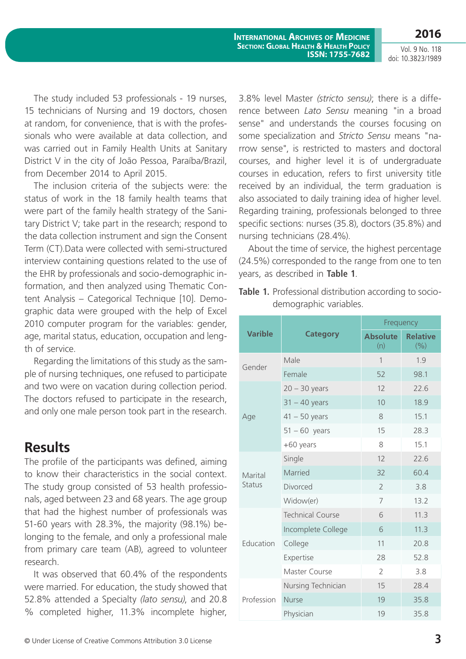**2016** Vol. 9 No. 118

**International Archives of Medicine Section: Global Health & Health Policy ISSN: 1755-7682**

doi: 10.3823/1989

The study included 53 professionals - 19 nurses, 15 technicians of Nursing and 19 doctors, chosen at random, for convenience, that is with the professionals who were available at data collection, and was carried out in Family Health Units at Sanitary District V in the city of João Pessoa, Paraíba/Brazil, from December 2014 to April 2015.

The inclusion criteria of the subjects were: the status of work in the 18 family health teams that were part of the family health strategy of the Sanitary District V; take part in the research; respond to the data collection instrument and sign the Consent Term (CT).Data were collected with semi-structured interview containing questions related to the use of the EHR by professionals and socio-demographic information, and then analyzed using Thematic Content Analysis – Categorical Technique [10]. Demographic data were grouped with the help of Excel 2010 computer program for the variables: gender, age, marital status, education, occupation and length of service.

Regarding the limitations of this study as the sample of nursing techniques, one refused to participate and two were on vacation during collection period. The doctors refused to participate in the research, and only one male person took part in the research.

### **Results**

The profile of the participants was defined, aiming to know their characteristics in the social context. The study group consisted of 53 health professionals, aged between 23 and 68 years. The age group that had the highest number of professionals was 51-60 years with 28.3%, the majority (98.1%) belonging to the female, and only a professional male from primary care team (AB), agreed to volunteer research.

It was observed that 60.4% of the respondents were married. For education, the study showed that 52.8% attended a Specialty *(lato sensu)*, and 20.8 % completed higher, 11.3% incomplete higher,

3.8% level Master *(stricto sensu)*; there is a difference between *Lato Sensu* meaning "in a broad sense" and understands the courses focusing on some specialization and *Stricto Sensu* means "narrow sense", is restricted to masters and doctoral courses, and higher level it is of undergraduate courses in education, refers to first university title received by an individual, the term graduation is also associated to daily training idea of higher level. Regarding training, professionals belonged to three specific sections: nurses (35.8), doctors (35.8%) and nursing technicians (28.4%).

About the time of service, the highest percentage (24.5%) corresponded to the range from one to ten years, as described in **Table 1**.

|                |                         | Frequency              |                        |  |
|----------------|-------------------------|------------------------|------------------------|--|
| <b>Varible</b> | <b>Category</b>         | <b>Absolute</b><br>(n) | <b>Relative</b><br>(%) |  |
| Gender         | Male                    | 1                      | 1.9                    |  |
|                | Female                  | 52                     | 98.1                   |  |
|                | $20 - 30$ years         | 12                     | 22.6                   |  |
|                | $31 - 40$ years         | 10                     | 18.9                   |  |
| Age            | $41 - 50$ years         | 8                      | 15.1                   |  |
|                | $51 - 60$ years         | 15                     | 28.3                   |  |
|                | +60 years               | 8                      | 15.1                   |  |
|                | Single                  | 12                     | 22.6                   |  |
| Marital        | Married                 | 32                     | 60.4                   |  |
| <b>Status</b>  | Divorced                | $\overline{2}$         | 3.8                    |  |
|                | Widow(er)               | 7                      | 13.2                   |  |
| Education      | <b>Technical Course</b> | 6                      | 11.3                   |  |
|                | Incomplete College      | 6                      | 11.3                   |  |
|                | College                 | 11                     | 20.8                   |  |
|                | Expertise               | 28                     | 52.8                   |  |
|                | Master Course           | $\overline{2}$         | 3.8                    |  |
| Profession     | Nursing Technician      | 15                     | 28.4                   |  |
|                | <b>Nurse</b>            | 19                     | 35.8                   |  |
|                | Physician               | 19                     | 35.8                   |  |

**Table 1.** Professional distribution according to sociodemographic variables.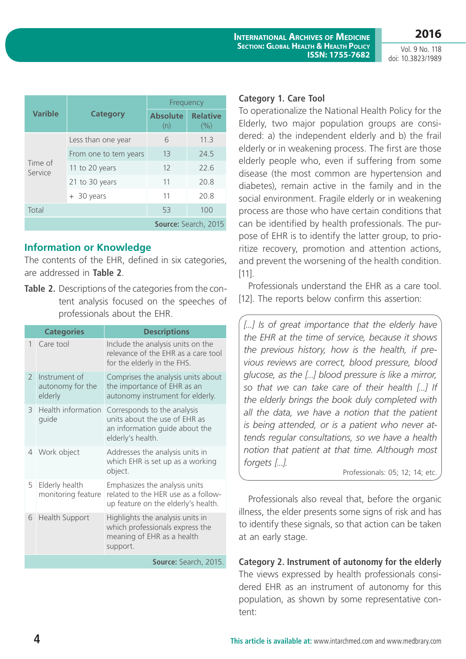**2016**

|                    | <b>Category</b>       | Frequency              |                          |  |
|--------------------|-----------------------|------------------------|--------------------------|--|
| <b>Varible</b>     |                       | <b>Absolute</b><br>(n) | <b>Relative</b><br>(9/0) |  |
| Time of<br>Service | Less than one year    | 6                      | 11.3                     |  |
|                    | From one to tem years | 13                     | 24.5                     |  |
|                    | 11 to 20 years        | 12                     | 72.6                     |  |
|                    | 21 to 30 years        | 11                     | 20.8                     |  |
|                    | + 30 years            | 11                     | 20.8                     |  |
| Total              |                       | 53                     | 100                      |  |
|                    |                       |                        | Source: Search, 2015     |  |

### **Information or Knowledge**

The contents of the EHR, defined in six categories, are addressed in **Table 2**.

**Table 2.** Descriptions of the categories from the content analysis focused on the speeches of professionals about the EHR.

|                       | <b>Categories</b>                            | <b>Descriptions</b>                                                                                                 |  |
|-----------------------|----------------------------------------------|---------------------------------------------------------------------------------------------------------------------|--|
| $\mathbf{1}$          | Care tool                                    | Include the analysis units on the<br>relevance of the EHR as a care tool<br>for the elderly in the FHS.             |  |
| $\mathcal{P}$         | Instrument of<br>autonomy for the<br>elderly | Comprises the analysis units about<br>the importance of EHR as an<br>autonomy instrument for elderly.               |  |
| 3                     | Health information<br>guide                  | Corresponds to the analysis<br>units about the use of EHR as<br>an information guide about the<br>elderly's health. |  |
|                       | 4 Work object                                | Addresses the analysis units in<br>which EHR is set up as a working<br>object.                                      |  |
| 5                     | Elderly health<br>monitoring feature         | Emphasizes the analysis units<br>related to the HER use as a follow-<br>up feature on the elderly's health.         |  |
| 6                     | Health Support                               | Highlights the analysis units in<br>which professionals express the<br>meaning of EHR as a health<br>support.       |  |
| Source: Search, 2015. |                                              |                                                                                                                     |  |

#### **Category 1. Care Tool**

To operationalize the National Health Policy for the Elderly, two major population groups are considered: a) the independent elderly and b) the frail elderly or in weakening process. The first are those elderly people who, even if suffering from some disease (the most common are hypertension and diabetes), remain active in the family and in the social environment. Fragile elderly or in weakening process are those who have certain conditions that can be identified by health professionals. The purpose of EHR is to identify the latter group, to prioritize recovery, promotion and attention actions, and prevent the worsening of the health condition. [11].

Professionals understand the EHR as a care tool. [12]. The reports below confirm this assertion:

[...] Is of great importance that the elderly have *the EHR at the time of service, because it shows the previous history, how is the health, if previous reviews are correct, blood pressure, blood glucose, as the [...] blood pressure is like a mirror, so that we can take care of their health [...] If the elderly brings the book duly completed with all the data, we have a notion that the patient is being attended, or is a patient who never attends regular consultations, so we have a health notion that patient at that time. Although most forgets [...].*

Professionals: 05; 12; 14; etc.

Professionals also reveal that, before the organic illness, the elder presents some signs of risk and has to identify these signals, so that action can be taken at an early stage.

**Category 2. Instrument of autonomy for the elderly**  The views expressed by health professionals considered EHR as an instrument of autonomy for this population, as shown by some representative content: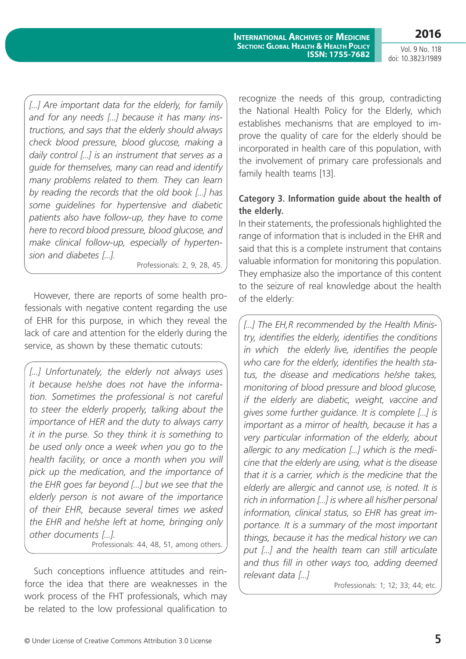**2016**

**International Archives of Medicine Section: Global Health & Health Policy ISSN: 1755-7682**

[...] Are important data for the elderly, for family *and for any needs [...] because it has many instructions, and says that the elderly should always check blood pressure, blood glucose, making a daily control [...] is an instrument that serves as a guide for themselves, many can read and identify many problems related to them. They can learn by reading the records that the old book [...] has some guidelines for hypertensive and diabetic patients also have follow-up, they have to come here to record blood pressure, blood glucose, and make clinical follow-up, especially of hypertension and diabetes [...].*

Professionals: 2, 9, 28, 45.

However, there are reports of some health professionals with negative content regarding the use of EHR for this purpose, in which they reveal the lack of care and attention for the elderly during the service, as shown by these thematic cutouts:

[...] Unfortunately, the elderly not always uses *it because he/she does not have the information. Sometimes the professional is not careful to steer the elderly properly, talking about the importance of HER and the duty to always carry it in the purse. So they think it is something to be used only once a week when you go to the health facility, or once a month when you will pick up the medication, and the importance of the EHR goes far beyond [...] but we see that the elderly person is not aware of the importance of their EHR, because several times we asked the EHR and he/she left at home, bringing only other documents [...].*

Professionals: 44, 48, 51, among others.

Such conceptions influence attitudes and reinforce the idea that there are weaknesses in the work process of the FHT professionals, which may be related to the low professional qualification to

recognize the needs of this group, contradicting the National Health Policy for the Elderly, which establishes mechanisms that are employed to improve the quality of care for the elderly should be incorporated in health care of this population, with the involvement of primary care professionals and family health teams [13].

### **Category 3. Information guide about the health of the elderly.**

In their statements, the professionals highlighted the range of information that is included in the EHR and said that this is a complete instrument that contains valuable information for monitoring this population. They emphasize also the importance of this content to the seizure of real knowledge about the health of the elderly:

*[...] The EH,R recommended by the Health Ministry, identifies the elderly, identifies the conditions in which the elderly live, identifies the people who care for the elderly, identifies the health status, the disease and medications he/she takes, monitoring of blood pressure and blood glucose, if the elderly are diabetic, weight, vaccine and gives some further guidance. It is complete [...] is important as a mirror of health, because it has a very particular information of the elderly, about allergic to any medication [...] which is the medicine that the elderly are using, what is the disease that it is a carrier, which is the medicine that the elderly are allergic and cannot use, is noted. It is rich in information [...] is where all his/her personal information, clinical status, so EHR has great importance. It is a summary of the most important things, because it has the medical history we can put [...] and the health team can still articulate and thus fill in other ways too, adding deemed relevant data [...]* 

Professionals: 1; 12; 33; 44; etc.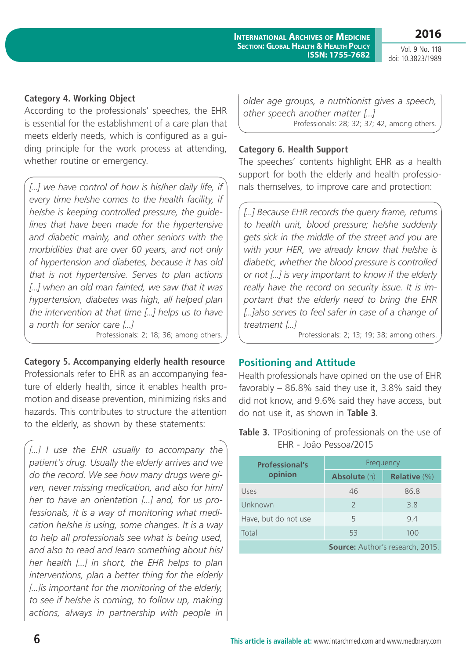**2016** Vol. 9 No. 118

doi: 10.3823/1989

#### **Category 4. Working Object**

According to the professionals' speeches, the EHR is essential for the establishment of a care plan that meets elderly needs, which is configured as a guiding principle for the work process at attending, whether routine or emergency.

[...] we have control of how is his/her daily life, if *every time he/she comes to the health facility, if he/she is keeping controlled pressure, the guidelines that have been made for the hypertensive and diabetic mainly, and other seniors with the morbidities that are over 60 years, and not only of hypertension and diabetes, because it has old that is not hypertensive. Serves to plan actions [...] when an old man fainted, we saw that it was hypertension, diabetes was high, all helped plan the intervention at that time [...] helps us to have a north for senior care [...]*  Professionals: 2; 18; 36; among others.

#### **Category 5. Accompanying elderly health resource**

Professionals refer to EHR as an accompanying feature of elderly health, since it enables health promotion and disease prevention, minimizing risks and hazards. This contributes to structure the attention to the elderly, as shown by these statements:

*[...] I use the EHR usually to accompany the patient's drug. Usually the elderly arrives and we do the record. We see how many drugs were given, never missing medication, and also for him/ her to have an orientation [...] and, for us professionals, it is a way of monitoring what medication he/she is using, some changes. It is a way to help all professionals see what is being used, and also to read and learn something about his/ her health [...] in short, the EHR helps to plan interventions, plan a better thing for the elderly [...]is important for the monitoring of the elderly, to see if he/she is coming, to follow up, making actions, always in partnership with people in*

*older age groups, a nutritionist gives a speech, other speech another matter [...]*  Professionals: 28; 32; 37; 42, among others.

#### **Category 6. Health Support**

The speeches' contents highlight EHR as a health support for both the elderly and health professionals themselves, to improve care and protection:

*[...] Because EHR records the query frame, returns to health unit, blood pressure; he/she suddenly gets sick in the middle of the street and you are with your HER, we already know that he/she is diabetic, whether the blood pressure is controlled or not [...] is very important to know if the elderly really have the record on security issue. It is important that the elderly need to bring the EHR [...]also serves to feel safer in case of a change of treatment [...]* 

Professionals: 2; 13; 19; 38; among others.

#### **Positioning and Attitude**

Health professionals have opined on the use of EHR favorably – 86.8% said they use it, 3.8% said they did not know, and 9.6% said they have access, but do not use it, as shown in **Table 3**.

|  | <b>Table 3.</b> TPositioning of professionals on the use of |  |  |
|--|-------------------------------------------------------------|--|--|
|  | EHR - João Pessoa/2015                                      |  |  |

| <b>Professional's</b> | Frequency                               |                     |  |
|-----------------------|-----------------------------------------|---------------------|--|
| opinion               | <b>Absolute</b> (n)                     | <b>Relative (%)</b> |  |
| Uses                  | 46                                      | 86.8                |  |
| Unknown               | $\mathcal{L}$                           | 3.8                 |  |
| Have, but do not use  | 5                                       | 9.4                 |  |
| Total                 | 53                                      | 100                 |  |
|                       | <b>Source: Author's research, 2015.</b> |                     |  |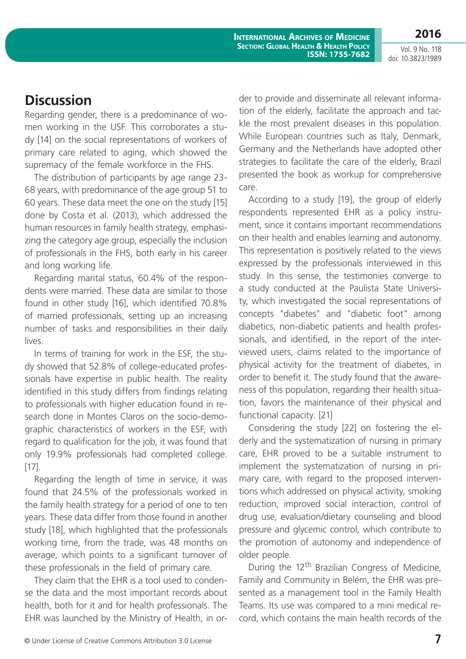**2016**

**International Archives of Medicine Section: Global Health & Health Policy ISSN: 1755-7682**

### **Discussion**

Regarding gender, there is a predominance of women working in the USF. This corroborates a study [14] on the social representations of workers of primary care related to aging, which showed the supremacy of the female workforce in the FHS.

The distribution of participants by age range 23- 68 years, with predominance of the age group 51 to 60 years. These data meet the one on the study [15] done by Costa et al. (2013), which addressed the human resources in family health strategy, emphasizing the category age group, especially the inclusion of professionals in the FHS, both early in his career and long working life.

Regarding marital status, 60.4% of the respondents were married. These data are similar to those found in other study [16], which identified 70.8% of married professionals, setting up an increasing number of tasks and responsibilities in their daily lives.

In terms of training for work in the ESF, the study showed that 52.8% of college-educated professionals have expertise in public health. The reality identified in this study differs from findings relating to professionals with higher education found in research done in Montes Claros on the socio-demographic characteristics of workers in the ESF, with regard to qualification for the job, it was found that only 19.9% professionals had completed college. [17].

Regarding the length of time in service, it was found that 24.5% of the professionals worked in the family health strategy for a period of one to ten years. These data differ from those found in another study [18], which highlighted that the professionals working time, from the trade, was 48 months on average, which points to a significant turnover of these professionals in the field of primary care.

They claim that the EHR is a tool used to condense the data and the most important records about health, both for it and for health professionals. The EHR was launched by the Ministry of Health, in order to provide and disseminate all relevant information of the elderly, facilitate the approach and tackle the most prevalent diseases in this population. While European countries such as Italy, Denmark, Germany and the Netherlands have adopted other strategies to facilitate the care of the elderly, Brazil presented the book as workup for comprehensive care.

According to a study [19], the group of elderly respondents represented EHR as a policy instrument, since it contains important recommendations on their health and enables learning and autonomy. This representation is positively related to the views expressed by the professionals interviewed in this study. In this sense, the testimonies converge to a study conducted at the Paulista State University, which investigated the social representations of concepts "diabetes" and "diabetic foot" among diabetics, non-diabetic patients and health professionals, and identified, in the report of the interviewed users, claims related to the importance of physical activity for the treatment of diabetes, in order to benefit it. The study found that the awareness of this population, regarding their health situation, favors the maintenance of their physical and functional capacity. [21]

Considering the study [22] on fostering the elderly and the systematization of nursing in primary care, EHR proved to be a suitable instrument to implement the systematization of nursing in primary care, with regard to the proposed interventions which addressed on physical activity, smoking reduction, improved social interaction, control of drug use, evaluation/dietary counseling and blood pressure and glycemic control, which contribute to the promotion of autonomy and independence of older people.

During the 12<sup>th</sup> Brazilian Congress of Medicine, Family and Community in Belém, the EHR was presented as a management tool in the Family Health Teams. Its use was compared to a mini medical record, which contains the main health records of the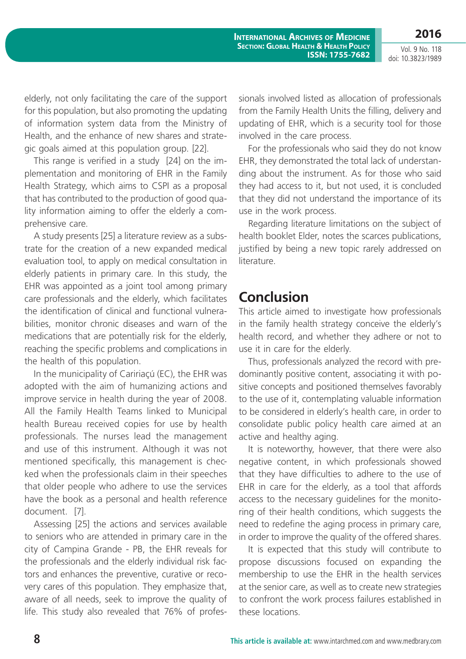Vol. 9 No. 118 doi: 10.3823/1989

**2016**

elderly, not only facilitating the care of the support for this population, but also promoting the updating of information system data from the Ministry of Health, and the enhance of new shares and strategic goals aimed at this population group. [22].

This range is verified in a study [24] on the implementation and monitoring of EHR in the Family Health Strategy, which aims to CSPI as a proposal that has contributed to the production of good quality information aiming to offer the elderly a comprehensive care.

A study presents [25] a literature review as a substrate for the creation of a new expanded medical evaluation tool, to apply on medical consultation in elderly patients in primary care. In this study, the EHR was appointed as a joint tool among primary care professionals and the elderly, which facilitates the identification of clinical and functional vulnerabilities, monitor chronic diseases and warn of the medications that are potentially risk for the elderly, reaching the specific problems and complications in the health of this population.

In the municipality of Caririaçú (EC), the EHR was adopted with the aim of humanizing actions and improve service in health during the year of 2008. All the Family Health Teams linked to Municipal health Bureau received copies for use by health professionals. The nurses lead the management and use of this instrument. Although it was not mentioned specifically, this management is checked when the professionals claim in their speeches that older people who adhere to use the services have the book as a personal and health reference document. [7].

Assessing [25] the actions and services available to seniors who are attended in primary care in the city of Campina Grande - PB, the EHR reveals for the professionals and the elderly individual risk factors and enhances the preventive, curative or recovery cares of this population. They emphasize that, aware of all needs, seek to improve the quality of life. This study also revealed that 76% of professionals involved listed as allocation of professionals from the Family Health Units the filling, delivery and updating of EHR, which is a security tool for those involved in the care process.

For the professionals who said they do not know EHR, they demonstrated the total lack of understanding about the instrument. As for those who said they had access to it, but not used, it is concluded that they did not understand the importance of its use in the work process.

Regarding literature limitations on the subject of health booklet Elder, notes the scarces publications, justified by being a new topic rarely addressed on literature.

### **Conclusion**

This article aimed to investigate how professionals in the family health strategy conceive the elderly's health record, and whether they adhere or not to use it in care for the elderly.

Thus, professionals analyzed the record with predominantly positive content, associating it with positive concepts and positioned themselves favorably to the use of it, contemplating valuable information to be considered in elderly's health care, in order to consolidate public policy health care aimed at an active and healthy aging.

It is noteworthy, however, that there were also negative content, in which professionals showed that they have difficulties to adhere to the use of EHR in care for the elderly, as a tool that affords access to the necessary guidelines for the monitoring of their health conditions, which suggests the need to redefine the aging process in primary care, in order to improve the quality of the offered shares.

It is expected that this study will contribute to propose discussions focused on expanding the membership to use the EHR in the health services at the senior care, as well as to create new strategies to confront the work process failures established in these locations.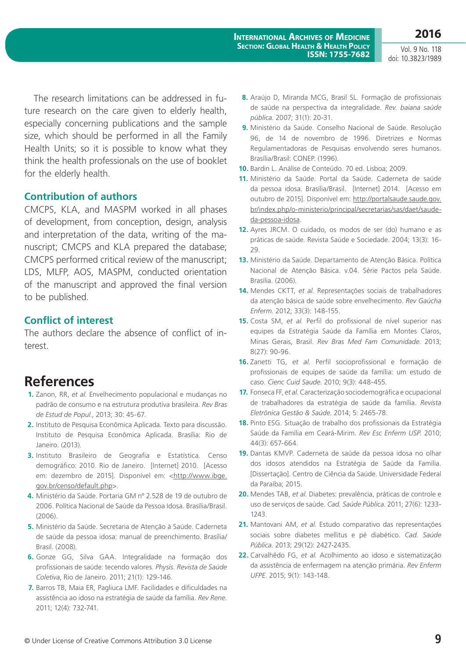The research limitations can be addressed in future research on the care given to elderly health, especially concerning publications and the sample size, which should be performed in all the Family Health Units; so it is possible to know what they think the health professionals on the use of booklet for the elderly health.

#### **Contribution of authors**

CMCPS, KLA, and MASPM worked in all phases of development, from conception, design, analysis and interpretation of the data, writing of the manuscript; CMCPS and KLA prepared the database; CMCPS performed critical review of the manuscript; LDS, MLFP, AOS, MASPM, conducted orientation of the manuscript and approved the final version to be published.

### **Conflict of interest**

The authors declare the absence of conflict of interest.

# **References**

- **1.** Zanon, RR, *et al*. Envelhecimento populacional e mudanças no padrão de consumo e na estrutura produtiva brasileira. *Rev Bras de Estud de Popul*., 2013; 30: 45-67.
- **2.** Instituto de Pesquisa Econômica Aplicada. Texto para discussão. Instituto de Pesquisa Econômica Aplicada. Brasília: Rio de Janeiro. (2013).
- **3.** Instituto Brasileiro de Geografia e Estatística. Censo demográfico: 2010. Rio de Janeiro. [Internet] 2010. [Acesso em: dezembro de 2015]. Disponível em: <[http://www.ibge.](http://www.ibge.gov.br/censo/default.php) [gov.br/censo/default.php>](http://www.ibge.gov.br/censo/default.php).
- **4.** Ministério da Saúde. Portaria GM nº 2.528 de 19 de outubro de 2006. Política Nacional de Saúde da Pessoa Idosa. Brasília/Brasil. (2006).
- **5.** Ministério da Saúde. Secretaria de Atenção à Saúde. Caderneta de saúde da pessoa idosa: manual de preenchimento. Brasília/ Brasil. (2008).
- **6.** Gonze GG, Silva GAA. Integralidade na formação dos profissionais de saúde: tecendo valores. *Physis. Revista de Saúde Coletiva*, Rio de Janeiro. 2011; 21(1): 129-146.
- **7.** Barros TB, Maia ER, Pagliuca LMF. Facilidades e dificuldades na assistência ao idoso na estratégia de saúde da família. *Rev Rene*. 2011; 12(4): 732-741.
- **8.** Araújo D, Miranda MCG, Brasil SL. Formação de profissionais de saúde na perspectiva da integralidade. *Rev. baiana saúde pública*. 2007; 31(1): 20-31.
- **9.** Ministério da Saúde. Conselho Nacional de Saúde. Resolução 96, de 14 de novembro de 1996. Diretrizes e Normas Regulamentadoras de Pesquisas envolvendo seres humanos. Brasília/Brasil: CONEP. (1996).
- **10.** Bardin L. Análise de Conteúdo. 70 ed. Lisboa; 2009.
- **11.** Ministério da Saúde. Portal da Saúde. Caderneta de saúde da pessoa idosa. Brasília/Brasil. [Internet] 2014. [Acesso em outubro de 2015]. Disponível em: [http://portalsaude.saude.gov.](http://portalsaude.saude.gov.br/index.php/o-ministerio/principal/secretarias/sas/daet/saude-da-pessoa-idosa) [br/index.php/o-ministerio/principal/secretarias/sas/daet/saude](http://portalsaude.saude.gov.br/index.php/o-ministerio/principal/secretarias/sas/daet/saude-da-pessoa-idosa)[da-pessoa-idosa.](http://portalsaude.saude.gov.br/index.php/o-ministerio/principal/secretarias/sas/daet/saude-da-pessoa-idosa)
- **12.** Ayres JRCM. O cuidado, os modos de ser (do) humano e as práticas de saúde. Revista Saúde e Sociedade. 2004; 13(3): 16-  $29.9$
- **13.** Ministério da Saúde. Departamento de Atenção Básica. Política Nacional de Atenção Básica. v.04. Série Pactos pela Saúde. Brasília. (2006).
- **14.** Mendes CKTT, *et al*. Representações sociais de trabalhadores da atenção básica de saúde sobre envelhecimento. *Rev Gaúcha Enferm*. 2012; 33(3): 148-155.
- **15.** Costa SM, *et al*. Perfil do profissional de nível superior nas equipes da Estratégia Saúde da Família em Montes Claros, Minas Gerais, Brasil. *Rev Bras Med Fam Comunidade*. 2013; 8(27): 90-96.
- **16.** Zanetti TG, *et al*. Perfil socioprofissional e formação de profissionais de equipes de saúde da família: um estudo de caso. *Cienc Cuid Saude*. 2010; 9(3): 448-455.
- **17.** Fonseca FF, *et al*. Caracterização sociodemográfica e ocupacional de trabalhadores da estratégia de saúde da família. *Revista Eletrônica Gestão & Saúde*. 2014; 5: 2465-78.
- **18.** Pinto ESG. Situação de trabalho dos profissionais da Estratégia Saúde da Família em Ceará-Mirim. *Rev Esc Enferm USP*. 2010; 44(3): 657-664.
- **19.** Dantas KMVP. Caderneta de saúde da pessoa idosa no olhar dos idosos atendidos na Estratégia de Saúde da Família. [Dissertação]. Centro de Ciência da Saúde. Universidade Federal da Paraíba; 2015.
- **20.** Mendes TAB, *et al*. Diabetes: prevalência, práticas de controle e uso de serviços de saúde. *Cad. Saúde Pública*. 2011; 27(6): 1233- 1243.
- **21.** Mantovani AM, *et al*. Estudo comparativo das representações sociais sobre diabetes mellitus e pé diabético. *Cad. Saúde Pública*. 2013; 29(12): 2427-2435.
- **22.** Carvalhêdo FG, *et al*. Acolhimento ao idoso e sistematização da assistência de enfermagem na atenção primária. *Rev Enferm UFPE*. 2015; 9(1): 143-148.